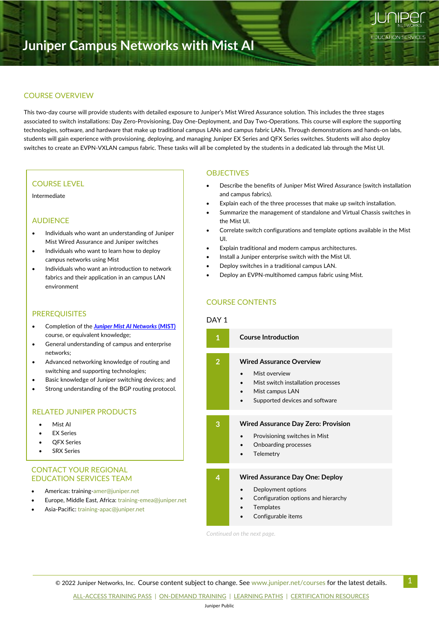# **Juniper Campus Networks with Mist AI**

#### COURSE OVERVIEW

**Junos Multicast Routing**

This two-day course will provide students with detailed exposure to Juniper's Mist Wired Assurance solution. This includes the three stages associated to switch installations: Day Zero-Provisioning, Day One-Deployment, and Day Two-Operations. This course will explore the supporting technologies, software, and hardware that make up traditional campus LANs and campus fabric LANs. Through demonstrations and hands-on labs, students will gain experience with provisioning, deploying, and managing Juniper EX Series and QFX Series switches. Students will also deploy switches to create an EVPN-VXLAN campus fabric. These tasks will all be completed by the students in a dedicated lab through the Mist UI.

#### COURSE LEVEL

Intermediate

#### AUDIENCE

- Individuals who want an understanding of Juniper Mist Wired Assurance and Juniper switches
- Individuals who want to learn how to deploy campus networks using Mist
- Individuals who want an introduction to network fabrics and their application in an campus LAN environment

#### PREREQUISITES

- Completion of the *[Juniper Mist AI Networks](https://learningportal.juniper.net/juniper/user_training.aspx?display=type%3aclassroom-training-with-survey.png)* **(MIST)** course, or equivalent knowledge;
- General understanding of campus and enterprise networks;
- Advanced networking knowledge of routing and switching and supporting technologies;
- Basic knowledge of Juniper switching devices; and
- Strong understanding of the BGP routing protocol.

### RELATED JUNIPER PRODUCTS

- Mist AI
- EX Series
- **QFX Series**
- **SRX Series**

#### CONTACT YOUR REGIONAL EDUCATION SERVICES TEAM

- Americas: [training-amer@juniper.net](mailto:training-amer@juniper.net)
- Europe, Middle East, Africa: training-emea@juniper.net
- Asia-Pacific: [training-apac@juniper.net](mailto:training-apac@juniper.net)

#### **OBJECTIVES**

• Describe the benefits of Juniper Mist Wired Assurance (switch installation and campus fabrics).

9

**EDUCATION SERVICES** 

- Explain each of the three processes that make up switch installation.
- Summarize the management of standalone and Virtual Chassis switches in the Mist UI.
- Correlate switch configurations and template options available in the Mist UI.
- Explain traditional and modern campus architectures.
- Install a Juniper enterprise switch with the Mist UI.
- Deploy switches in a traditional campus LAN.
- Deploy an EVPN-multihomed campus fabric using Mist.

# COURSE CONTENTS

#### DAY<sub>1</sub>

| 1              | <b>Course Introduction</b>                                                                                                                  |
|----------------|---------------------------------------------------------------------------------------------------------------------------------------------|
| $\overline{2}$ | <b>Wired Assurance Overview</b><br>Mist overview<br>Mist switch installation processes<br>Mist campus LAN<br>Supported devices and software |
| 3              | <b>Wired Assurance Day Zero: Provision</b><br>Provisioning switches in Mist<br>Onboarding processes<br>Telemetry                            |
| 4              | <b>Wired Assurance Day One: Deploy</b><br>Deployment options<br>Configuration options and hierarchy<br>Templates<br>Configurable items      |

*Continued on the next page.*

 $\degree$  2022 Juniper Networks, Inc. Course content subject to change. See [www.juniper.net/courses](https://learningportal.juniper.net/juniper/user_training.aspx?display=type%3aclassroom-training-with-survey.png) for the latest details.

[ALL-ACCESS TRAINING PASS](https://learningportal.juniper.net/juniper/user_activity_info.aspx?id=ALL-ACCESS-TRAINING-PASS-HOME&elqTrackId=LP-material-reference) | [ON-DEMAND](https://learningportal.juniper.net/juniper/user_activity_info.aspx?id=JUNIPER-ONDEMAND-TRAINING-HOME&elqTrackId=LP-material-reference) TRAINING | [LEARNING PATHS](https://learningportal.juniper.net/juniper/user_activity_info.aspx?id=JUNIPER-LEARNING-PATHS-HOME&elqTrackId=LP-material-reference) | [CERTIFICATION RESOURCES](https://learningportal.juniper.net/juniper/user_activity_info.aspx?id=JUNIPER-CERTIFICATION-PROGRAM-HOME&elqTrackId=LP-material-reference)